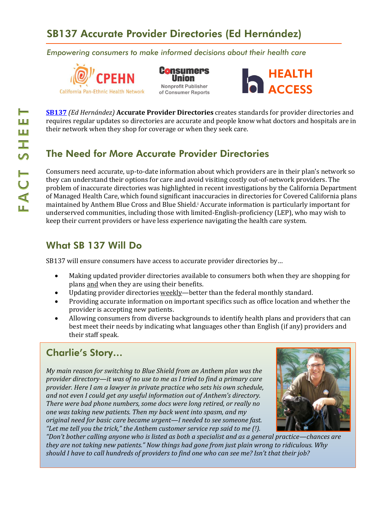# SB137 Accurate Provider Directories (Ed Hernández)

*Empowering consumers to make informed decisions about their health care* 







**[SB137](http://leginfo.legislature.ca.gov/faces/billNavClient.xhtml?bill_id=201520160SB137&search_keywords=)** *(Ed Hernández)* **Accurate Provider Directories** creates standards for provider directories and requires regular updates so directories are accurate and people know what doctors and hospitals are in their network when they shop for coverage or when they seek care.

## The Need for More Accurate Provider Directories

Consumers need accurate, up-to-date information about which providers are in their plan's network so they can understand their options for care and avoid visiting costly out-of-network providers. The problem of inaccurate directories was highlighted in recent investigations by the California Department of Managed Health Care, which found significant inaccuracies in directories for Covered California plans maintained by Anthem Blue Cross and Blue Shield.<sup>i</sup> Accurate information is particularly important for underserved communities, including those with limited-English-proficiency (LEP), who may wish to keep their current providers or have less experience navigating the health care system.

#### What SB 137 Will Do

SB137 will ensure consumers have access to accurate provider directories by…

- Making updated provider directories available to consumers both when they are shopping for plans and when they are using their benefits.
- Updating provider directories weekly—better than the federal monthly standard.
- Providing accurate information on important specifics such as office location and whether the provider is accepting new patients.
- Allowing consumers from diverse backgrounds to identify health plans and providers that can best meet their needs by indicating what languages other than English (if any) providers and their staff speak.

## Charlie's Story…

*My main reason for switching to Blue Shield from an Anthem plan was the provider directory—it was of no use to me as I tried to find a primary care provider. Here I am a lawyer in private practice who sets his own schedule, and not even I could get any useful information out of Anthem's directory. There were bad phone numbers, some docs were long retired, or really no one was taking new patients. Then my back went into spasm, and my original need for basic care became urgent—I needed to see someone fast. "Let me tell you the trick," the Anthem customer service rep said to me (!).* 



*"Don't bother calling anyone who is listed as both a specialist and as a general practice—chances are they are not taking new patients." Now things had gone from just plain wrong to ridiculous. Why should I have to call hundreds of providers to find one who can see me? Isn't that their job?*